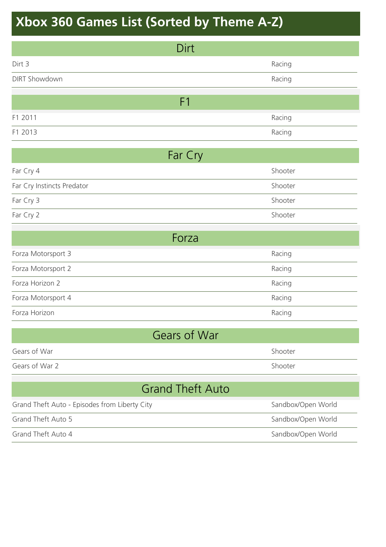| Dirt                                          |                    |  |
|-----------------------------------------------|--------------------|--|
| Dirt 3                                        | Racing             |  |
| <b>DIRT Showdown</b>                          | Racing             |  |
| F <sub>1</sub>                                |                    |  |
| F1 2011                                       |                    |  |
|                                               | Racing             |  |
| F1 2013                                       | Racing             |  |
| Far Cry                                       |                    |  |
| Far Cry 4                                     | Shooter            |  |
| Far Cry Instincts Predator                    | Shooter            |  |
| Far Cry 3                                     | Shooter            |  |
| Far Cry 2                                     | Shooter            |  |
| Forza                                         |                    |  |
| Forza Motorsport 3                            | Racing             |  |
| Forza Motorsport 2                            | Racing             |  |
| Forza Horizon 2                               | Racing             |  |
| Forza Motorsport 4                            | Racing             |  |
| Forza Horizon                                 | Racing             |  |
| Gears of War                                  |                    |  |
| Gears of War                                  | Shooter            |  |
| Gears of War 2                                | Shooter            |  |
| <b>Grand Theft Auto</b>                       |                    |  |
| Grand Theft Auto - Episodes from Liberty City | Sandbox/Open World |  |
| <b>Grand Theft Auto 5</b>                     | Sandbox/Open World |  |
| Grand Theft Auto 4                            | Sandbox/Open World |  |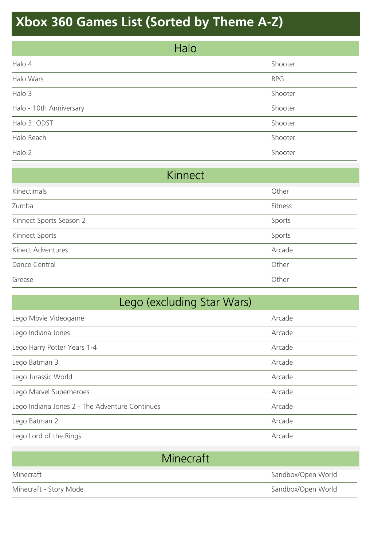| Halo                    |            |
|-------------------------|------------|
| Halo 4                  | Shooter    |
| Halo Wars               | <b>RPG</b> |
| Halo 3                  | Shooter    |
| Halo - 10th Anniversary | Shooter    |
| Halo 3: ODST            | Shooter    |
| Halo Reach              | Shooter    |
| Halo 2                  | Shooter    |

| Kinnect                 |         |
|-------------------------|---------|
| Kinectimals             | Other   |
| Zumba                   | Fitness |
| Kinnect Sports Season 2 | Sports  |
| Kinnect Sports          | Sports  |
| Kinect Adventures       | Arcade  |
| Dance Central           | Other   |
| Grease                  | Other   |

| Lego (excluding Star Wars)                     |        |
|------------------------------------------------|--------|
| Lego Movie Videogame                           | Arcade |
| Lego Indiana Jones                             | Arcade |
| Lego Harry Potter Years 1-4                    | Arcade |
| Lego Batman 3                                  | Arcade |
| Lego Jurassic World                            | Arcade |
| Lego Marvel Superheroes                        | Arcade |
| Lego Indiana Jones 2 - The Adventure Continues | Arcade |
| Lego Batman 2                                  | Arcade |
| Lego Lord of the Rings                         | Arcade |
|                                                |        |

|                        | Minecraft          |
|------------------------|--------------------|
| Minecraft              | Sandbox/Open World |
| Minecraft - Story Mode | Sandbox/Open World |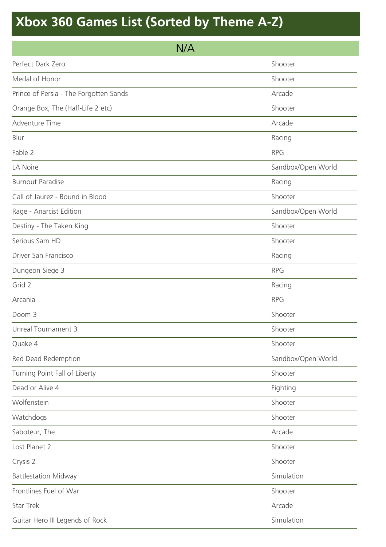| N/A                                    |                    |
|----------------------------------------|--------------------|
| Perfect Dark Zero                      | Shooter            |
| Medal of Honor                         | Shooter            |
| Prince of Persia - The Forgotten Sands | Arcade             |
| Orange Box, The (Half-Life 2 etc)      | Shooter            |
| Adventure Time                         | Arcade             |
| Blur                                   | Racing             |
| Fable 2                                | <b>RPG</b>         |
| LA Noire                               | Sandbox/Open World |
| <b>Burnout Paradise</b>                | Racing             |
| Call of Jaurez - Bound in Blood        | Shooter            |
| Rage - Anarcist Edition                | Sandbox/Open World |
| Destiny - The Taken King               | Shooter            |
| Serious Sam HD                         | Shooter            |
| Driver San Francisco                   | Racing             |
| Dungeon Siege 3                        | <b>RPG</b>         |
| Grid 2                                 | Racing             |
| Arcania                                | <b>RPG</b>         |
| Doom 3                                 | Shooter            |
| Unreal Tournament 3                    | Shooter            |
| Quake 4                                | Shooter            |
| Red Dead Redemption                    | Sandbox/Open World |
| Turning Point Fall of Liberty          | Shooter            |
| Dead or Alive 4                        | Fighting           |
| Wolfenstein                            | Shooter            |
| Watchdogs                              | Shooter            |
| Saboteur, The                          | Arcade             |
| Lost Planet 2                          | Shooter            |
| Crysis 2                               | Shooter            |
| <b>Battlestation Midway</b>            | Simulation         |
| Frontlines Fuel of War                 | Shooter            |
| <b>Star Trek</b>                       | Arcade             |
| Guitar Hero III Legends of Rock        | Simulation         |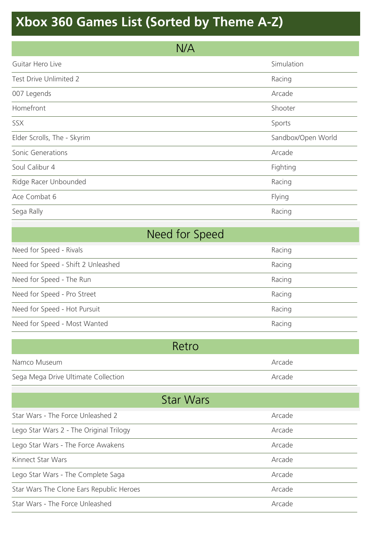| N/A                         |                    |
|-----------------------------|--------------------|
| Guitar Hero Live            | Simulation         |
| Test Drive Unlimited 2      | Racing             |
| 007 Legends                 | Arcade             |
| Homefront                   | Shooter            |
| SSX                         | Sports             |
| Elder Scrolls, The - Skyrim | Sandbox/Open World |
| Sonic Generations           | Arcade             |
| Soul Calibur 4              | Fighting           |
| Ridge Racer Unbounded       | Racing             |
| Ace Combat 6                | Flying             |
| Sega Rally                  | Racing             |

| Need for Speed                     |        |
|------------------------------------|--------|
| Need for Speed - Rivals            | Racing |
| Need for Speed - Shift 2 Unleashed | Racing |
| Need for Speed - The Run           | Racing |
| Need for Speed - Pro Street        | Racing |
| Need for Speed - Hot Pursuit       | Racing |
| Need for Speed - Most Wanted       | Racing |

| Retro                               |        |
|-------------------------------------|--------|
| Namco Museum                        | Arcade |
| Sega Mega Drive Ultimate Collection | Arcade |

| <b>Star Wars</b>                         |        |  |
|------------------------------------------|--------|--|
| Star Wars - The Force Unleashed 2        | Arcade |  |
| Lego Star Wars 2 - The Original Trilogy  | Arcade |  |
| Lego Star Wars - The Force Awakens       | Arcade |  |
| Kinnect Star Wars                        | Arcade |  |
| Lego Star Wars - The Complete Saga       | Arcade |  |
| Star Wars The Clone Ears Republic Heroes | Arcade |  |
| Star Wars - The Force Unleashed          | Arcade |  |